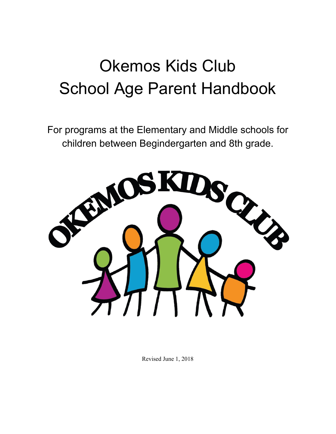# Okemos Kids Club School Age Parent Handbook

For programs at the Elementary and Middle schools for children between Begindergarten and 8th grade.



Revised June 1, 2018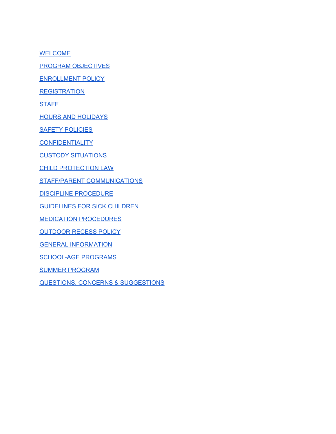**[WELCOME](#page-2-0)** 

PROGRAM [OBJECTIVES](#page-2-1)

[ENROLLMENT](#page-2-2) POLICY

**[REGISTRATION](#page-3-0)** 

**[STAFF](#page-6-0)** 

HOURS AND [HOLIDAYS](#page-6-1)

SAFETY [POLICIES](#page-7-0)

**[CONFIDENTIALITY](#page-7-1)** 

CUSTODY [SITUATIONS](#page-7-2)

CHILD [PROTECTION](#page-8-0) LAW

STAFF/PARENT [COMMUNICATIONS](#page-8-1)

DISCIPLINE [PROCEDURE](#page-8-2)

[GUIDELINES](#page-9-0) FOR SICK CHILDREN

MEDICATION [PROCEDURES](#page-10-0)

[OUTDOOR](#page-11-0) RECESS POLICY

GENERAL [INFORMATION](#page-11-1)

[SCHOOL-AGE](#page-12-0) PROGRAMS

SUMMER [PROGRAM](#page-13-0)

QUESTIONS, CONCERNS & [SUGGESTIONS](#page-14-0)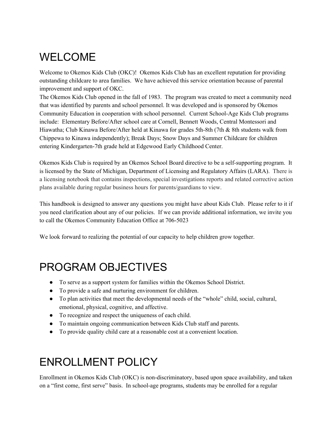## <span id="page-2-0"></span>WELCOME

Welcome to Okemos Kids Club (OKC)! Okemos Kids Club has an excellent reputation for providing outstanding childcare to area families. We have achieved this service orientation because of parental improvement and support of OKC.

The Okemos Kids Club opened in the fall of 1983. The program was created to meet a community need that was identified by parents and school personnel. It was developed and is sponsored by Okemos Community Education in cooperation with school personnel. Current School-Age Kids Club programs include: Elementary Before/After school care at Cornell, Bennett Woods, Central Montessori and Hiawatha; Club Kinawa Before/After held at Kinawa for grades 5th-8th (7th & 8th students walk from Chippewa to Kinawa independently); Break Days; Snow Days and Summer Childcare for children entering Kindergarten-7th grade held at Edgewood Early Childhood Center.

Okemos Kids Club is required by an Okemos School Board directive to be a self-supporting program. It is licensed by the State of Michigan, Department of Licensing and Regulatory Affairs (LARA). There is a licensing notebook that contains inspections, special investigations reports and related corrective action plans available during regular business hours for parents/guardians to view.

This handbook is designed to answer any questions you might have about Kids Club. Please refer to it if you need clarification about any of our policies. If we can provide additional information, we invite you to call the Okemos Community Education Office at 706-5023

We look forward to realizing the potential of our capacity to help children grow together.

## <span id="page-2-1"></span>PROGRAM OBJECTIVES

- To serve as a support system for families within the Okemos School District.
- To provide a safe and nurturing environment for children.
- To plan activities that meet the developmental needs of the "whole" child, social, cultural, emotional, physical, cognitive, and affective.
- To recognize and respect the uniqueness of each child.
- To maintain ongoing communication between Kids Club staff and parents.
- To provide quality child care at a reasonable cost at a convenient location.

## <span id="page-2-2"></span>ENROLLMENT POLICY

Enrollment in Okemos Kids Club (OKC) is non-discriminatory, based upon space availability, and taken on a "first come, first serve" basis. In school-age programs, students may be enrolled for a regular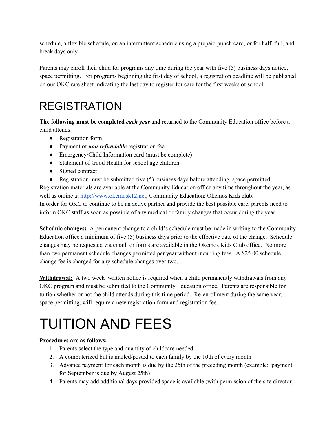schedule, a flexible schedule, on an intermittent schedule using a prepaid punch card, or for half, full, and break days only.

Parents may enroll their child for programs any time during the year with five (5) business days notice, space permitting. For programs beginning the first day of school, a registration deadline will be published on our OKC rate sheet indicating the last day to register for care for the first weeks of school.

## <span id="page-3-0"></span>REGISTRATION

**The following must be completed** *each year* and returned to the Community Education office before a child attends:

- Registration form
- Payment of *non refundable* registration fee
- Emergency/Child Information card (must be complete)
- Statement of Good Health for school age children
- Signed contract
- Registration must be submitted five  $(5)$  business days before attending, space permitted

Registration materials are available at the Community Education office any time throughout the year, as well as online at [http://www.okemosk12.net](http://www.okemosk12.net/); Community Education; Okemos Kids club. In order for OKC to continue to be an active partner and provide the best possible care, parents need to inform OKC staff as soon as possible of any medical or family changes that occur during the year.

**Schedule changes:** A permanent change to a child's schedule must be made in writing to the Community Education office a minimum of five (5) business days prior to the effective date of the change. Schedule changes may be requested via email, or forms are available in the Okemos Kids Club office. No more than two permanent schedule changes permitted per year without incurring fees. A \$25.00 schedule change fee is charged for any schedule changes over two.

**Withdrawal:** A two week written notice is required when a child permanently withdrawals from any OKC program and must be submitted to the Community Education office. Parents are responsible for tuition whether or not the child attends during this time period. Re-enrollment during the same year, space permitting, will require a new registration form and registration fee.

# TUITION AND FEES

#### **Procedures are as follows:**

- 1. Parents select the type and quantity of childcare needed
- 2. A computerized bill is mailed/posted to each family by the 10th of every month
- 3. Advance payment for each month is due by the 25th of the preceding month (example: payment for September is due by August 25th)
- 4. Parents may add additional days provided space is available (with permission of the site director)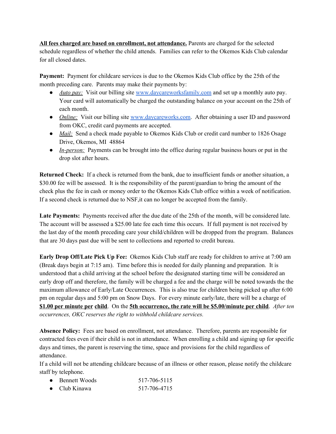**All fees charged are based on enrollment, not attendance.** Parents are charged for the selected schedule regardless of whether the child attends. Families can refer to the Okemos Kids Club calendar for all closed dates.

**Payment:** Payment for childcare services is due to the Okemos Kids Club office by the 25th of the month preceding care. Parents may make their payments by:

- *Auto pay:* Visit our billing site [www.daycareworksfamily.com](http://www.daycareworksfamily.com/) and set up a monthly auto pay. Your card will automatically be charged the outstanding balance on your account on the 25th of each month.
- *Online:* Visit our billing site [www.daycareworks.com](http://www.daycareworksfamily.com/). After obtaining a user ID and password from OKC, credit card payments are accepted.
- *Mail:* Send a check made payable to Okemos Kids Club or credit card number to 1826 Osage Drive, Okemos, MI 48864
- *In-person:* Payments can be brought into the office during regular business hours or put in the drop slot after hours.

**Returned Check:** If a check is returned from the bank, due to insufficient funds or another situation, a \$30.00 fee will be assessed. It is the responsibility of the parent/guardian to bring the amount of the check plus the fee in cash or money order to the Okemos Kids Club office within a week of notification. If a second check is returned due to NSF,it can no longer be accepted from the family.

**Late Payments:** Payments received after the due date of the 25th of the month, will be considered late. The account will be assessed a \$25.00 late fee each time this occurs. If full payment is not received by the last day of the month preceding care your child/children will be dropped from the program. Balances that are 30 days past due will be sent to collections and reported to credit bureau.

**Early Drop Off/Late Pick Up Fee:** Okemos Kids Club staff are ready for children to arrive at 7:00 am (Break days begin at 7:15 am). Time before this is needed for daily planning and preparation. It is understood that a child arriving at the school before the designated starting time will be considered an early drop off and therefore, the family will be charged a fee and the charge will be noted towards the the maximum allowance of Early/Late Occurrences. This is also true for children being picked up after 6:00 pm on regular days and 5:00 pm on Snow Days. For every minute early/late, there will be a charge of **\$1.00 per minute per child**. On the **5th occurrence, the rate will be \$5.00/minute per child**. *After ten occurrences, OKC reserves the right to withhold childcare services.*

**Absence Policy:** Fees are based on enrollment, not attendance. Therefore, parents are responsible for contracted fees even if their child is not in attendance. When enrolling a child and signing up for specific days and times, the parent is reserving the time, space and provisions for the child regardless of attendance.

If a child will not be attending childcare because of an illness or other reason, please notify the childcare staff by telephone.

| <b>Bennett Woods</b> | 517-706-5115 |
|----------------------|--------------|
| Club Kinawa          | 517-706-4715 |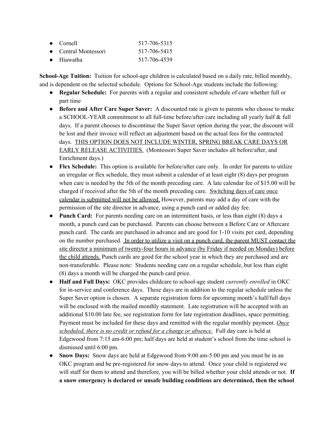| $\bullet$ Cornell    | 517-706-5315 |
|----------------------|--------------|
| • Central Montessori | 517-706-5415 |
| $\bullet$ Hiawatha   | 517-706-4539 |

**School-Age Tuition:** Tuition for school-age children is calculated based on a daily rate, billed monthly, and is dependent on the selected schedule. Options for School-Age students include the following:

- **Regular Schedule:** For parents with a regular and consistent schedule of care whether full or part time
- **Before and After Care Super Saver:** A discounted rate is given to parents who choose to make a SCHOOL-YEAR commitment to all full-time before/after care including all yearly half & full days. If a parent chooses to discontinue the Super Saver option during the year, the discount will be lost and their invoice will reflect an adjustment based on the actual fees for the contracted days. THIS OPTION DOES NOT INCLUDE WINTER, SPRING BREAK CARE DAYS OR EARLY RELEASE ACTIVITIES. (Montessori Super Saver includes all before/after, and Enrichment days.)
- **Flex Schedule:** This option is available for before/after care only. In order for parents to utilize an irregular or flex schedule, they must submit a calendar of at least eight (8) days per program when care is needed by the 5th of the month preceding care. A late calendar fee of \$15.00 will be charged if received after the 5th of the month preceding care. Switching days of care once calendar is submitted will not be allowed. However, parents may add a day of care with the permission of the site director in advance, using a punch card or added day fee.
- **Punch Card:** For parents needing care on an intermittent basis, or less than eight (8) days a month, a punch card can be purchased. Parents can choose between a Before Care or Aftercare punch card. The cards are purchased in advance and are good for 1-10 visits per card, depending on the number purchased. In order to utilize a visit on a punch card, the parent MUST contact the site director a minimum of twenty-four hours in advance (by Friday if needed on Monday) before the child attends. Punch cards are good for the school year in which they are purchased and are non-transferable. Please note: Students needing care on a regular schedule, but less than eight (8) days a month will be charged the punch card price.
- **Half and Full Days:** OKC provides childcare to school-age student *currently enrolled* in OKC for in-service and conference days. These days are in addition to the regular schedule unless the Super Saver option is chosen. A separate registration form for upcoming month's half/full days will be enclosed with the mailed monthly statement. Late registration will be accepted with an additional \$10.00 late fee, see registration form for late registration deadlines, space permitting. Payment must be included for these days and remitted with the regular monthly payment. *Once scheduled, there is no credit or refund for a change or absence.* Full day care is held at Edgewood from 7:15 am-6:00 pm; half days are held at student's school from the time school is dismissed until 6:00 pm.
- **Snow Days:** Snow days are held at Edgewood from 9:00 am-5:00 pm and you must be in an OKC program and be pre-registered for snow days to attend. Once your child is registered we will staff for them to attend and therefore, you will be billed whether your child attends or not. **If a snow emergency is declared or unsafe building conditions are determined, then the school**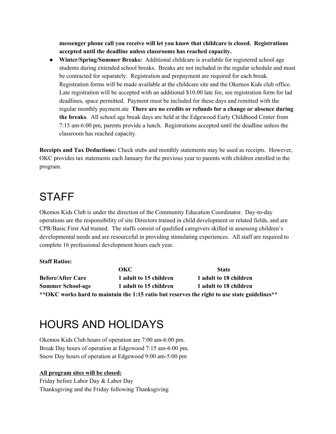**messenger phone call you receive will let you know that childcare is closed. Registrations accepted until the deadline unless classrooms has reached capacity.**

● **Winter/Spring/Summer Breaks:** Additional childcare is available for registered school age students during extended school breaks. Breaks are not included in the regular schedule and must be contracted for separately. Registration and prepayment are required for each break. Registration forms will be made available at the childcare site and the Okemos Kids club office. Late registration will be accepted with an additional \$10.00 late fee, see registration form for lad deadlines, space permitted. Payment must be included for these days and remitted with the regular monthly payment.ate **There are no credits or refunds for a change or absence during the breaks**. All school age break days are held at the Edgewood Early Childhood Center from 7:15 am-6:00 pm, parents provide a lunch. Registrations accepted until the deadline unless the classroom has reached capacity.

**Receipts and Tax Deductions:** Check stubs and monthly statements may be used as receipts. However, OKC provides tax statements each January for the previous year to parents with children enrolled in the program.

### <span id="page-6-0"></span>**STAFF**

Okemos Kids Club is under the direction of the Community Education Coordinator. Day-to-day operations are the responsibility of site Directors trained in child development or related fields, and are CPR/Basic First Aid trained. The staffs consist of qualified caregivers skilled in assessing children's developmental needs and are resourceful in providing stimulating experiences. All staff are required to complete 16 professional development hours each year.

#### **Staff Ratios:**

|                          | окс                    | <b>State</b>                                                                                 |
|--------------------------|------------------------|----------------------------------------------------------------------------------------------|
| <b>Before/After Care</b> | 1 adult to 15 children | 1 adult to 18 children                                                                       |
| <b>Summer School-age</b> | 1 adult to 15 children | 1 adult to 18 children                                                                       |
|                          |                        | **OKC works hard to maintain the 1:15 ratio but reserves the right to use state guidelines** |

### <span id="page-6-1"></span>HOURS AND HOLIDAYS

Okemos Kids Club hours of operation are 7:00 am-6:00 pm. Break Day hours of operation at Edgewood 7:15 am-6:00 pm. Snow Day hours of operation at Edgewood 9:00 am-5:00 pm

#### **All program sites will be closed:**

Friday before Labor Day & Labor Day Thanksgiving and the Friday following Thanksgiving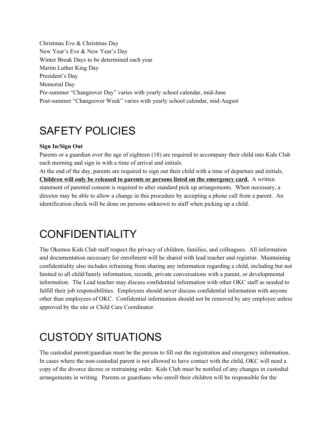Christmas Eve & Christmas Day New Year's Eve & New Year's Day Winter Break Days to be determined each year Martin Luther King Day President's Day Memorial Day Pre-summer "Changeover Day" varies with yearly school calendar, mid-June Post-summer "Changeover Week" varies with yearly school calendar, mid-August

### <span id="page-7-0"></span>SAFETY POLICIES

#### **Sign In/Sign Out**

Parents or a guardian over the age of eighteen (18) are required to accompany their child into Kids Club each morning and sign in with a time of arrival and initials.

At the end of the day, parents are required to sign out their child with a time of departure and initials. **Children will only be released to parents or persons listed on the emergency card.** A written statement of parental consent is required to alter standard pick up arrangements. When necessary, a director may be able to allow a change in this procedure by accepting a phone call from a parent. An identification check will be done on persons unknown to staff when picking up a child.

## <span id="page-7-1"></span>**CONFIDENTIALITY**

The Okemos Kids Club staff respect the privacy of children, families, and colleagues. All information and documentation necessary for enrollment will be shared with lead teacher and registrar. Maintaining confidentiality also includes refraining from sharing any information regarding a child, including but not limited to all child/family information, records, private conversations with a parent, or developmental information. The Lead teacher may discuss confidential information with other OKC staff as needed to fulfill their job responsibilities. Employees should never discuss confidential information with anyone other than employees of OKC. Confidential information should not be removed by any employee unless approved by the site or Child Care Coordinator.

### <span id="page-7-2"></span>CUSTODY SITUATIONS

The custodial parent/guardian must be the person to fill out the registration and emergency information. In cases where the non-custodial parent is not allowed to have contact with the child, OKC will need a copy of the divorce decree or restraining order. Kids Club must be notified of any changes in custodial arrangements in writing. Parents or guardians who enroll their children will be responsible for the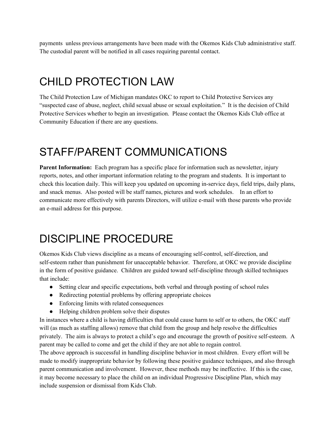payments unless previous arrangements have been made with the Okemos Kids Club administrative staff. The custodial parent will be notified in all cases requiring parental contact.

# <span id="page-8-0"></span>CHILD PROTECTION LAW

The Child Protection Law of Michigan mandates OKC to report to Child Protective Services any "suspected case of abuse, neglect, child sexual abuse or sexual exploitation." It is the decision of Child Protective Services whether to begin an investigation. Please contact the Okemos Kids Club office at Community Education if there are any questions.

# <span id="page-8-1"></span>STAFF/PARENT COMMUNICATIONS

**Parent Information:** Each program has a specific place for information such as newsletter, injury reports, notes, and other important information relating to the program and students. It is important to check this location daily. This will keep you updated on upcoming in-service days, field trips, daily plans, and snack menus. Also posted will be staff names, pictures and work schedules. In an effort to communicate more effectively with parents Directors, will utilize e-mail with those parents who provide an e-mail address for this purpose.

## <span id="page-8-2"></span>DISCIPLINE PROCEDURE

Okemos Kids Club views discipline as a means of encouraging self-control, self-direction, and self-esteem rather than punishment for unacceptable behavior. Therefore, at OKC we provide discipline in the form of positive guidance. Children are guided toward self-discipline through skilled techniques that include:

- Setting clear and specific expectations, both verbal and through posting of school rules
- Redirecting potential problems by offering appropriate choices
- Enforcing limits with related consequences
- Helping children problem solve their disputes

In instances where a child is having difficulties that could cause harm to self or to others, the OKC staff will (as much as staffing allows) remove that child from the group and help resolve the difficulties privately. The aim is always to protect a child's ego and encourage the growth of positive self-esteem. A parent may be called to come and get the child if they are not able to regain control.

The above approach is successful in handling discipline behavior in most children. Every effort will be made to modify inappropriate behavior by following these positive guidance techniques, and also through parent communication and involvement. However, these methods may be ineffective. If this is the case, it may become necessary to place the child on an individual Progressive Discipline Plan, which may include suspension or dismissal from Kids Club.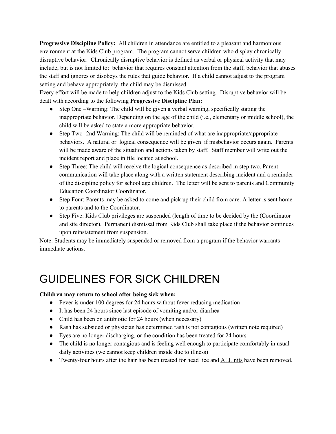**Progressive Discipline Policy:** All children in attendance are entitled to a pleasant and harmonious environment at the Kids Club program. The program cannot serve children who display chronically disruptive behavior. Chronically disruptive behavior is defined as verbal or physical activity that may include, but is not limited to: behavior that requires constant attention from the staff, behavior that abuses the staff and ignores or disobeys the rules that guide behavior. If a child cannot adjust to the program setting and behave appropriately, the child may be dismissed.

Every effort will be made to help children adjust to the Kids Club setting. Disruptive behavior will be dealt with according to the following **Progressive Discipline Plan:**

- Step One –Warning: The child will be given a verbal warning, specifically stating the inappropriate behavior. Depending on the age of the child (i.e., elementary or middle school), the child will be asked to state a more appropriate behavior.
- Step Two -2nd Warning: The child will be reminded of what are inappropriate/appropriate behaviors. A natural or logical consequence will be given if misbehavior occurs again. Parents will be made aware of the situation and actions taken by staff. Staff member will write out the incident report and place in file located at school.
- Step Three: The child will receive the logical consequence as described in step two. Parent communication will take place along with a written statement describing incident and a reminder of the discipline policy for school age children. The letter will be sent to parents and Community Education Coordinator Coordinator.
- Step Four: Parents may be asked to come and pick up their child from care. A letter is sent home to parents and to the Coordinator.
- Step Five: Kids Club privileges are suspended (length of time to be decided by the (Coordinator and site director). Permanent dismissal from Kids Club shall take place if the behavior continues upon reinstatement from suspension.

Note: Students may be immediately suspended or removed from a program if the behavior warrants immediate actions.

### <span id="page-9-0"></span>GUIDELINES FOR SICK CHILDREN

#### **Children may return to school after being sick when:**

- Fever is under 100 degrees for 24 hours without fever reducing medication
- It has been 24 hours since last episode of vomiting and/or diarrhea
- Child has been on antibiotic for 24 hours (when necessary)
- Rash has subsided or physician has determined rash is not contagious (written note required)
- Eyes are no longer discharging, or the condition has been treated for 24 hours
- The child is no longer contagious and is feeling well enough to participate comfortably in usual daily activities (we cannot keep children inside due to illness)
- Twenty-four hours after the hair has been treated for head lice and ALL nits have been removed.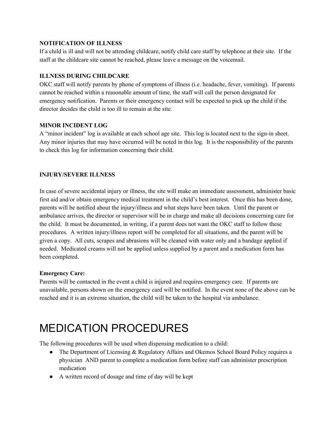#### **NOTIFICATION OF ILLNESS**

If a child is ill and will not be attending childcare, notify child care staff by telephone at their site. If the staff at the childcare site cannot be reached, please leave a message on the voicemail.

#### **ILLNESS DURING CHILDCARE**

OKC staff will notify parents by phone of symptoms of illness (i.e. headache, fever, vomiting). If parents cannot be reached within a reasonable amount of time, the staff will call the person designated for emergency notification. Parents or their emergency contact will be expected to pick up the child if the director decides the child is too ill to remain at the site.

#### **MINOR INCIDENT LOG**

A "minor incident" log is available at each school age site. This log is located next to the sign-in sheet. Any minor injuries that may have occurred will be noted in this log. It is the responsibility of the parents to check this log for information concerning their child.

#### **INJURY/SEVERE ILLNESS**

In case of severe accidental injury or illness, the site will make an immediate assessment, administer basic first aid and/or obtain emergency medical treatment in the child's best interest. Once this has been done, parents will be notified about the injury/illness and what steps have been taken. Until the parent or ambulance arrives, the director or supervisor will be in charge and make all decisions concerning care for the child. It must be documented, in writing, if a parent does not want the OKC staff to follow these procedures. A written injury/illness report will be completed for all situations, and the parent will be given a copy. All cuts, scrapes and abrasions will be cleaned with water only and a bandage applied if needed. Medicated creams will not be applied unless supplied by a parent and a medication form has been completed.

#### **Emergency Care:**

Parents will be contacted in the event a child is injured and requires emergency care. If parents are unavailable, persons shown on the emergency card will be notified. In the event none of the above can be reached and it is an extreme situation, the child will be taken to the hospital via ambulance.

### <span id="page-10-0"></span>MEDICATION PROCEDURES

The following procedures will be used when dispensing medication to a child:

- The Department of Licensing & Regulatory Affairs and Okemos School Board Policy requires a physician AND parent to complete a medication form before staff can administer prescription medication
- A written record of dosage and time of day will be kept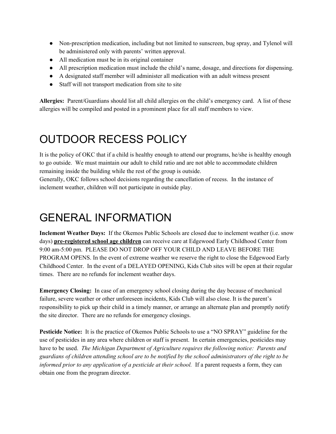- Non-prescription medication, including but not limited to sunscreen, bug spray, and Tylenol will be administered only with parents' written approval.
- All medication must be in its original container
- All prescription medication must include the child's name, dosage, and directions for dispensing.
- A designated staff member will administer all medication with an adult witness present
- Staff will not transport medication from site to site

**Allergies:** Parent/Guardians should list all child allergies on the child's emergency card. A list of these allergies will be compiled and posted in a prominent place for all staff members to view.

### <span id="page-11-0"></span>OUTDOOR RECESS POLICY

It is the policy of OKC that if a child is healthy enough to attend our programs, he/she is healthy enough to go outside. We must maintain our adult to child ratio and are not able to accommodate children remaining inside the building while the rest of the group is outside.

Generally, OKC follows school decisions regarding the cancellation of recess. In the instance of inclement weather, children will not participate in outside play.

## <span id="page-11-1"></span>GENERAL INFORMATION

**Inclement Weather Days:** If the Okemos Public Schools are closed due to inclement weather (i.e. snow days) **pre-registered school age children** can receive care at Edgewood Early Childhood Center from 9:00 am-5:00 pm. PLEASE DO NOT DROP OFF YOUR CHILD AND LEAVE BEFORE THE PROGRAM OPENS. In the event of extreme weather we reserve the right to close the Edgewood Early Childhood Center. In the event of a DELAYED OPENING, Kids Club sites will be open at their regular times. There are no refunds for inclement weather days.

**Emergency Closing:** In case of an emergency school closing during the day because of mechanical failure, severe weather or other unforeseen incidents, Kids Club will also close. It is the parent's responsibility to pick up their child in a timely manner, or arrange an alternate plan and promptly notify the site director. There are no refunds for emergency closings.

**Pesticide Notice:** It is the practice of Okemos Public Schools to use a "NO SPRAY" guideline for the use of pesticides in any area where children or staff is present. In certain emergencies, pesticides may have to be used. *The Michigan Department of Agriculture requires the following notice: Parents and* guardians of children attending school are to be notified by the school administrators of the right to be *informed prior to any application of a pesticide at their school.* If a parent requests a form, they can obtain one from the program director.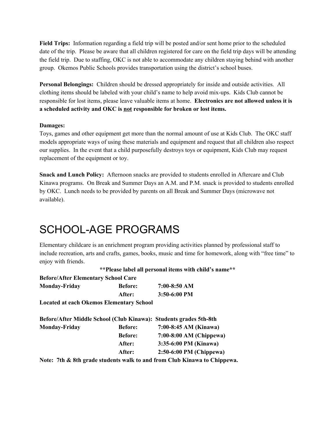**Field Trips:** Information regarding a field trip will be posted and/or sent home prior to the scheduled date of the trip. Please be aware that all children registered for care on the field trip days will be attending the field trip. Due to staffing, OKC is not able to accommodate any children staying behind with another group. Okemos Public Schools provides transportation using the district's school buses.

**Personal Belongings:** Children should be dressed appropriately for inside and outside activities. All clothing items should be labeled with your child's name to help avoid mix-ups. Kids Club cannot be responsible for lost items, please leave valuable items at home. **Electronics are not allowed unless it is a scheduled activity and OKC is not responsible for broken or lost items.**

#### **Damages:**

Toys, games and other equipment get more than the normal amount of use at Kids Club. The OKC staff models appropriate ways of using these materials and equipment and request that all children also respect our supplies. In the event that a child purposefully destroys toys or equipment, Kids Club may request replacement of the equipment or toy.

**Snack and Lunch Policy:** Afternoon snacks are provided to students enrolled in Aftercare and Club Kinawa programs. On Break and Summer Days an A.M. and P.M. snack is provided to students enrolled by OKC. Lunch needs to be provided by parents on all Break and Summer Days (microwave not available).

### <span id="page-12-0"></span>SCHOOL-AGE PROGRAMS

Elementary childcare is an enrichment program providing activities planned by professional staff to include recreation, arts and crafts, games, books, music and time for homework, along with "free time" to enjoy with friends.

**\*\*Please label all personal items with child's name\*\***

| <b>Before/After Elementary School Care</b> |                |                |  |
|--------------------------------------------|----------------|----------------|--|
| <b>Monday-Friday</b>                       | <b>Before:</b> | $7:00-8:50$ AM |  |
|                                            | After:         | $3:50-6:00$ PM |  |
|                                            |                |                |  |

**Located at each Okemos Elementary School**

|               |                | Before/After Middle School (Club Kinawa): Students grades 5th-8th |
|---------------|----------------|-------------------------------------------------------------------|
| Monday-Friday | <b>Before:</b> | 7:00-8:45 AM (Kinawa)                                             |
|               | <b>Before:</b> | $7:00-8:00$ AM (Chippewa)                                         |
|               | After:         | 3:35-6:00 PM (Kinawa)                                             |
|               | After:         | $2:50-6:00 \text{ PM}$ (Chippewa)                                 |
|               | .              |                                                                   |

**Note: 7th & 8th grade students walk to and from Club Kinawa to Chippewa.**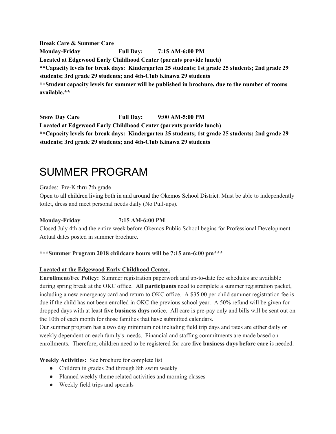**Break Care & Summer Care Monday-Friday Full Day: 7:15 AM-6:00 PM Located at Edgewood Early Childhood Center (parents provide lunch) \*\*Capacity levels for break days: Kindergarten 25 students; 1st grade 25 students; 2nd grade 29 students; 3rd grade 29 students; and 4th-Club Kinawa 29 students \*\*Student capacity levels for summer will be published in brochure, due to the number of rooms available.\*\***

**Snow Day Care Full Day: 9:00 AM-5:00 PM Located at Edgewood Early Childhood Center (parents provide lunch) \*\*Capacity levels for break days: Kindergarten 25 students; 1st grade 25 students; 2nd grade 29 students; 3rd grade 29 students; and 4th-Club Kinawa 29 students**

### <span id="page-13-0"></span>SUMMER PROGRAM

Grades: Pre-K thru 7th grade

Open to all children living both in and around the Okemos School District. Must be able to independently toilet, dress and meet personal needs daily (No Pull-ups).

#### **Monday-Friday 7:15 AM-6:00 PM**

Closed July 4th and the entire week before Okemos Public School begins for Professional Development. Actual dates posted in summer brochure.

#### **\*\*\*Summer Program 2018 childcare hours will be 7:15 am-6:00 pm\*\*\***

#### **Located at the Edgewood Early Childhood Center.**

**Enrollment/Fee Policy:** Summer registration paperwork and up-to-date fee schedules are available during spring break at the OKC office. **All participants** need to complete a summer registration packet, including a new emergency card and return to OKC office. A \$35.00 per child summer registration fee is due if the child has not been enrolled in OKC the previous school year. A 50% refund will be given for dropped days with at least **five business days** notice. All care is pre-pay only and bills will be sent out on the 10th of each month for those families that have submitted calendars.

Our summer program has a two day minimum not including field trip days and rates are either daily or weekly dependent on each family's needs. Financial and staffing commitments are made based on enrollments. Therefore, children need to be registered for care **five business days before care** is needed.

**Weekly Activities:** See brochure for complete list

- Children in grades 2nd through 8th swim weekly
- Planned weekly theme related activities and morning classes
- Weekly field trips and specials